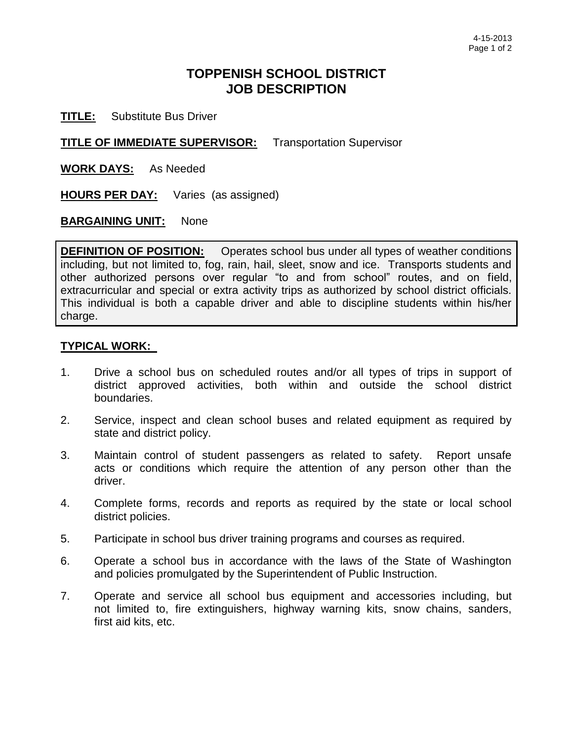## **TOPPENISH SCHOOL DISTRICT JOB DESCRIPTION**

**TITLE:** Substitute Bus Driver

**TITLE OF IMMEDIATE SUPERVISOR:** Transportation Supervisor

**WORK DAYS:** As Needed

**HOURS PER DAY:** Varies (as assigned)

## **BARGAINING UNIT:** None

**DEFINITION OF POSITION:** Operates school bus under all types of weather conditions including, but not limited to, fog, rain, hail, sleet, snow and ice. Transports students and other authorized persons over regular "to and from school" routes, and on field, extracurricular and special or extra activity trips as authorized by school district officials. This individual is both a capable driver and able to discipline students within his/her charge.

## **TYPICAL WORK:**

- 1. Drive a school bus on scheduled routes and/or all types of trips in support of district approved activities, both within and outside the school district boundaries.
- 2. Service, inspect and clean school buses and related equipment as required by state and district policy.
- 3. Maintain control of student passengers as related to safety. Report unsafe acts or conditions which require the attention of any person other than the driver.
- 4. Complete forms, records and reports as required by the state or local school district policies.
- 5. Participate in school bus driver training programs and courses as required.
- 6. Operate a school bus in accordance with the laws of the State of Washington and policies promulgated by the Superintendent of Public Instruction.
- 7. Operate and service all school bus equipment and accessories including, but not limited to, fire extinguishers, highway warning kits, snow chains, sanders, first aid kits, etc.